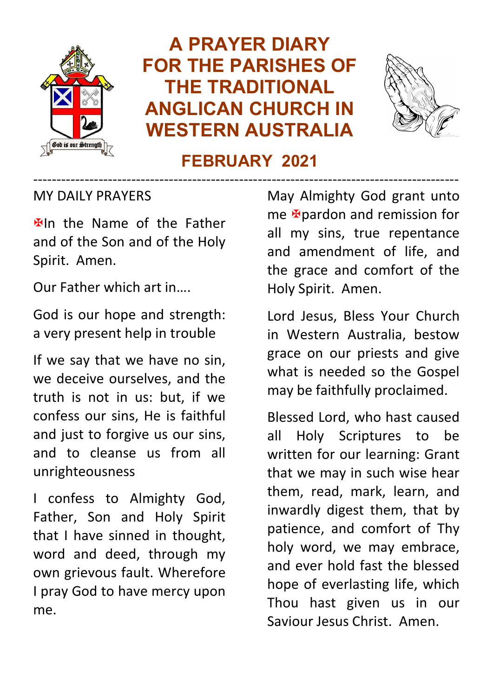

# **A PRAYER DIARY FOR THE PARISHES OF THE TRADITIONAL ANGLICAN CHURCH IN WESTERN AUSTRALIA**



#### **FEBRUARY 2021** -------------------------------------------------------------------------------------------

MY DAILY PRAYERS

**Elln** the Name of the Father and of the Son and of the Holy Spirit. Amen.

Our Father which art in….

God is our hope and strength: a very present help in trouble

If we say that we have no sin, we deceive ourselves, and the truth is not in us: but, if we confess our sins, He is faithful and just to forgive us our sins, and to cleanse us from all unrighteousness

I confess to Almighty God, Father, Son and Holy Spirit that I have sinned in thought, word and deed, through my own grievous fault. Wherefore I pray God to have mercy upon me.

May Almighty God grant unto me **E**pardon and remission for all my sins, true repentance and amendment of life, and the grace and comfort of the Holy Spirit. Amen.

Lord Jesus, Bless Your Church in Western Australia, bestow grace on our priests and give what is needed so the Gospel may be faithfully proclaimed.

Blessed Lord, who hast caused all Holy Scriptures to be written for our learning: Grant that we may in such wise hear them, read, mark, learn, and inwardly digest them, that by patience, and comfort of Thy holy word, we may embrace, and ever hold fast the blessed hope of everlasting life, which Thou hast given us in our Saviour Jesus Christ. Amen.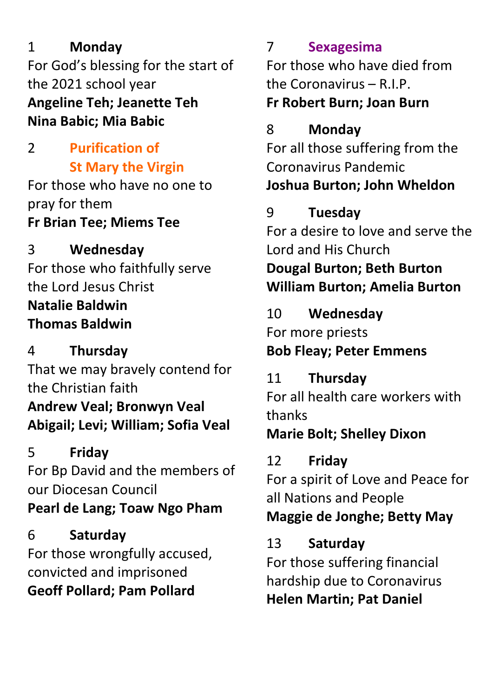#### 1 **Monday**

For God's blessing for the start of the 2021 school year **Angeline Teh; Jeanette Teh Nina Babic; Mia Babic**

#### 2 **Purification of St Mary the Virgin**

For those who have no one to pray for them **Fr Brian Tee; Miems Tee**

### 3 **Wednesday**

For those who faithfully serve the Lord Jesus Christ **Natalie Baldwin Thomas Baldwin**

#### 4 **Thursday**

That we may bravely contend for the Christian faith **Andrew Veal; Bronwyn Veal Abigail; Levi; William; Sofia Veal**

#### 5 **Friday**

For Bp David and the members of our Diocesan Council **Pearl de Lang; Toaw Ngo Pham**

#### 6 **Saturday** For those wrongfully accused, convicted and imprisoned **Geoff Pollard; Pam Pollard**

#### 7 **Sexagesima**

For those who have died from the Coronavirus –  $R$  I.P.

#### **Fr Robert Burn; Joan Burn**

#### 8 **Monday**

For all those suffering from the Coronavirus Pandemic **Joshua Burton; John Wheldon**

#### 9 **Tuesday**

For a desire to love and serve the Lord and His Church **Dougal Burton; Beth Burton**

**William Burton; Amelia Burton**

#### 10 **Wednesday** For more priests **Bob Fleay; Peter Emmens**

11 **Thursday** For all health care workers with thanks

#### **Marie Bolt; Shelley Dixon**

12 **Friday** For a spirit of Love and Peace for all Nations and People **Maggie de Jonghe; Betty May**

#### 13 **Saturday**

For those suffering financial hardship due to Coronavirus **Helen Martin; Pat Daniel**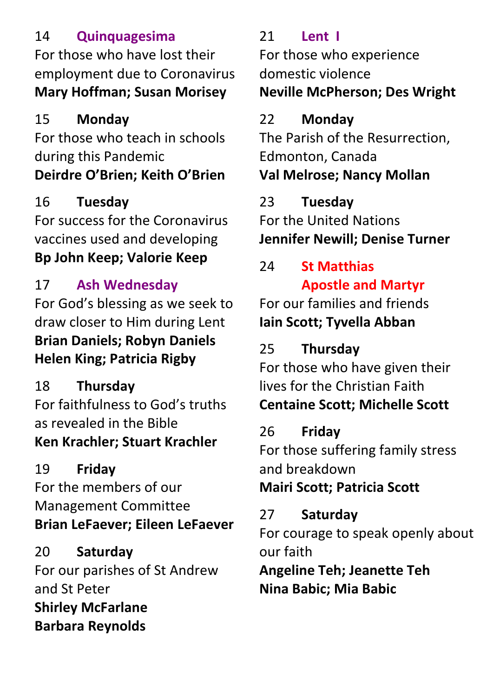#### 14 **Quinquagesima**

For those who have lost their employment due to Coronavirus **Mary Hoffman; Susan Morisey**

#### 15 **Monday**

For those who teach in schools during this Pandemic **Deirdre O'Brien; Keith O'Brien**

## 16 **Tuesday**

For success for the Coronavirus vaccines used and developing **Bp John Keep; Valorie Keep**

## 17 **Ash Wednesday**

For God's blessing as we seek to draw closer to Him during Lent **Brian Daniels; Robyn Daniels Helen King; Patricia Rigby**

18 **Thursday** For faithfulness to God's truths as revealed in the Bible **Ken Krachler; Stuart Krachler**

# 19 **Friday**

For the members of our Management Committee **Brian LeFaever; Eileen LeFaever**

20 **Saturday** For our parishes of St Andrew and St Peter **Shirley McFarlane Barbara Reynolds**

# 21 **Lent I**

For those who experience domestic violence **Neville McPherson; Des Wright**

## 22 **Monday**

The Parish of the Resurrection, Edmonton, Canada **Val Melrose; Nancy Mollan**

## 23 **Tuesday**

For the United Nations **Jennifer Newill; Denise Turner**

# 24 **St Matthias Apostle and Martyr**

For our families and friends **Iain Scott; Tyvella Abban**

## 25 **Thursday**

For those who have given their lives for the Christian Faith **Centaine Scott; Michelle Scott**

## 26 **Friday**

For those suffering family stress and breakdown

## **Mairi Scott; Patricia Scott**

# 27 **Saturday**

For courage to speak openly about our faith

**Angeline Teh; Jeanette Teh Nina Babic; Mia Babic**